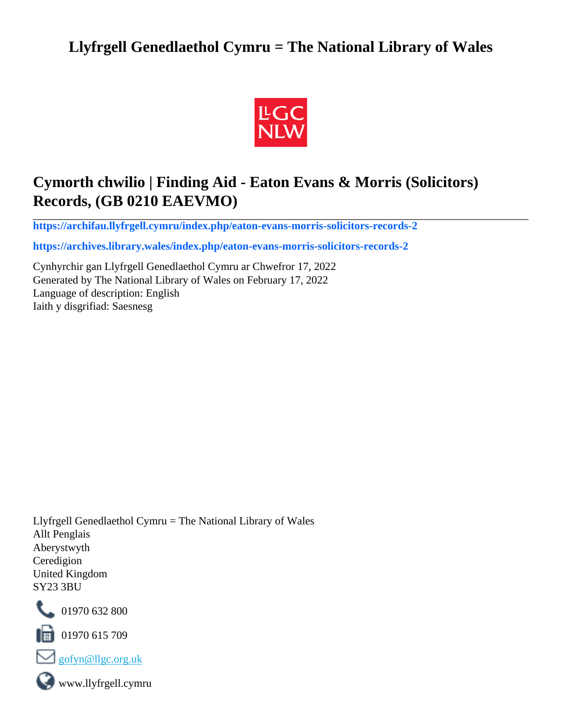## **Llyfrgell Genedlaethol Cymru = The National Library of Wales**



## **Cymorth chwilio | Finding Aid - Eaton Evans & Morris (Solicitors) Records, (GB 0210 EAEVMO)**

**[https://archifau.llyfrgell.cymru/index.php/eaton-evans-morris-solicitors-records-2](https://archifau.llyfrgell.cymru/index.php/eaton-evans-morris-solicitors-records-2;isad?sf_culture=cy)**

**[https://archives.library.wales/index.php/eaton-evans-morris-solicitors-records-2](https://archives.library.wales/index.php/eaton-evans-morris-solicitors-records-2;isad?sf_culture=en)**

Cynhyrchir gan Llyfrgell Genedlaethol Cymru ar Chwefror 17, 2022 Generated by The National Library of Wales on February 17, 2022 Language of description: English Iaith y disgrifiad: Saesnesg

Llyfrgell Genedlaethol Cymru = The National Library of Wales Allt Penglais Aberystwyth Ceredigion United Kingdom SY23 3BU



101970 632 800

 $\blacksquare$  01970 615 709



www.llyfrgell.cymru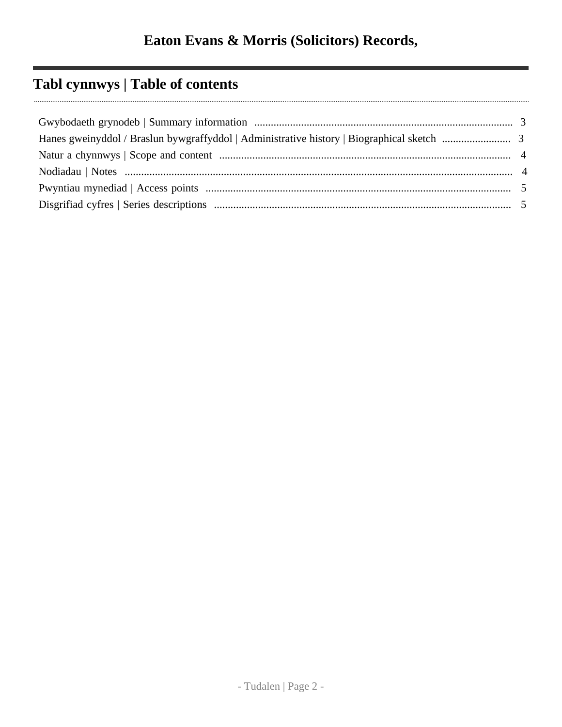# **Tabl cynnwys | Table of contents**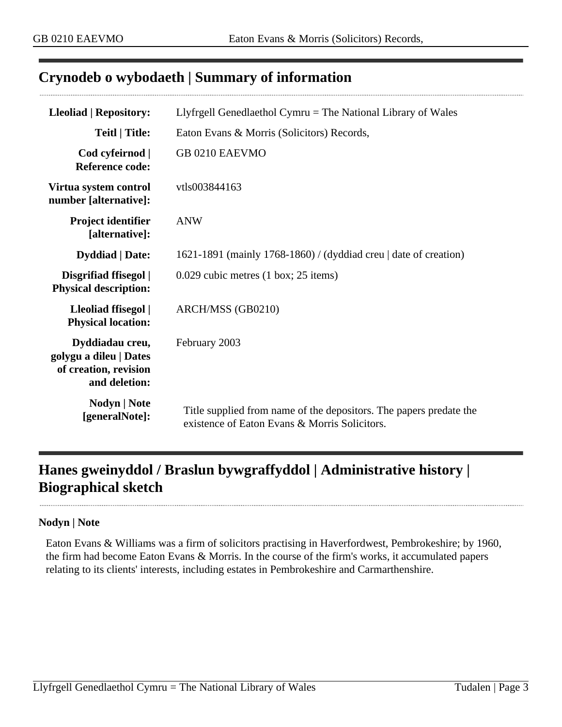### <span id="page-2-0"></span>**Crynodeb o wybodaeth | Summary of information**

| <b>Lleoliad   Repository:</b>                                                       | Llyfrgell Genedlaethol Cymru $=$ The National Library of Wales                                                      |
|-------------------------------------------------------------------------------------|---------------------------------------------------------------------------------------------------------------------|
| Teitl   Title:                                                                      | Eaton Evans & Morris (Solicitors) Records,                                                                          |
| Cod cyfeirnod  <br><b>Reference code:</b>                                           | GB 0210 EAEVMO                                                                                                      |
| Virtua system control<br>number [alternative]:                                      | vtls003844163                                                                                                       |
| Project identifier<br>[alternative]:                                                | <b>ANW</b>                                                                                                          |
| <b>Dyddiad</b>   Date:                                                              | 1621-1891 (mainly 1768-1860) / (dyddiad creu   date of creation)                                                    |
| Disgrifiad ffisegol  <br><b>Physical description:</b>                               | $0.029$ cubic metres $(1 \text{ box}; 25 \text{ items})$                                                            |
| Lleoliad ffisegol  <br><b>Physical location:</b>                                    | ARCH/MSS (GB0210)                                                                                                   |
| Dyddiadau creu,<br>golygu a dileu   Dates<br>of creation, revision<br>and deletion: | February 2003                                                                                                       |
| Nodyn   Note<br>[generalNote]:                                                      | Title supplied from name of the depositors. The papers predate the<br>existence of Eaton Evans & Morris Solicitors. |

## <span id="page-2-1"></span>**Hanes gweinyddol / Braslun bywgraffyddol | Administrative history | Biographical sketch**

#### **Nodyn | Note**

Eaton Evans & Williams was a firm of solicitors practising in Haverfordwest, Pembrokeshire; by 1960, the firm had become Eaton Evans & Morris. In the course of the firm's works, it accumulated papers relating to its clients' interests, including estates in Pembrokeshire and Carmarthenshire.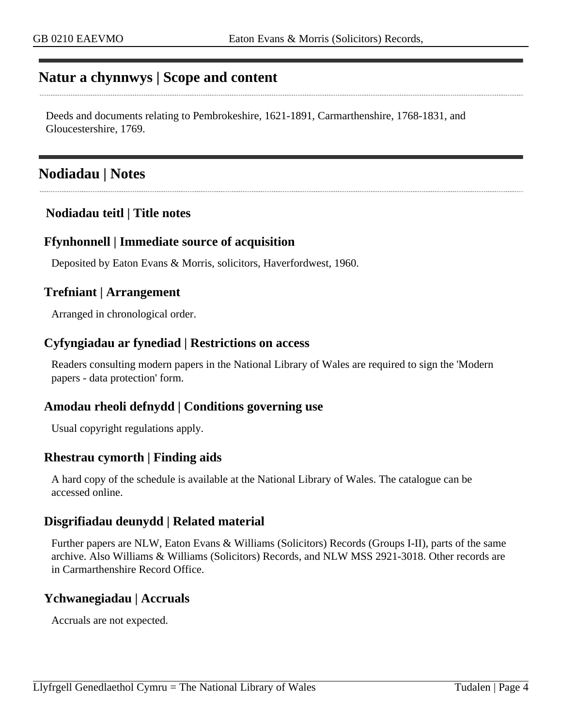### <span id="page-3-0"></span>**Natur a chynnwys | Scope and content**

Deeds and documents relating to Pembrokeshire, 1621-1891, Carmarthenshire, 1768-1831, and Gloucestershire, 1769.

### <span id="page-3-1"></span>**Nodiadau | Notes**

### **Nodiadau teitl | Title notes**

#### **Ffynhonnell | Immediate source of acquisition**

Deposited by Eaton Evans & Morris, solicitors, Haverfordwest, 1960.

#### **Trefniant | Arrangement**

Arranged in chronological order.

#### **Cyfyngiadau ar fynediad | Restrictions on access**

Readers consulting modern papers in the National Library of Wales are required to sign the 'Modern papers - data protection' form.

#### **Amodau rheoli defnydd | Conditions governing use**

Usual copyright regulations apply.

#### **Rhestrau cymorth | Finding aids**

A hard copy of the schedule is available at the National Library of Wales. The catalogue can be accessed online.

### **Disgrifiadau deunydd | Related material**

Further papers are NLW, Eaton Evans & Williams (Solicitors) Records (Groups I-II), parts of the same archive. Also Williams & Williams (Solicitors) Records, and NLW MSS 2921-3018. Other records are in Carmarthenshire Record Office.

#### **Ychwanegiadau | Accruals**

Accruals are not expected.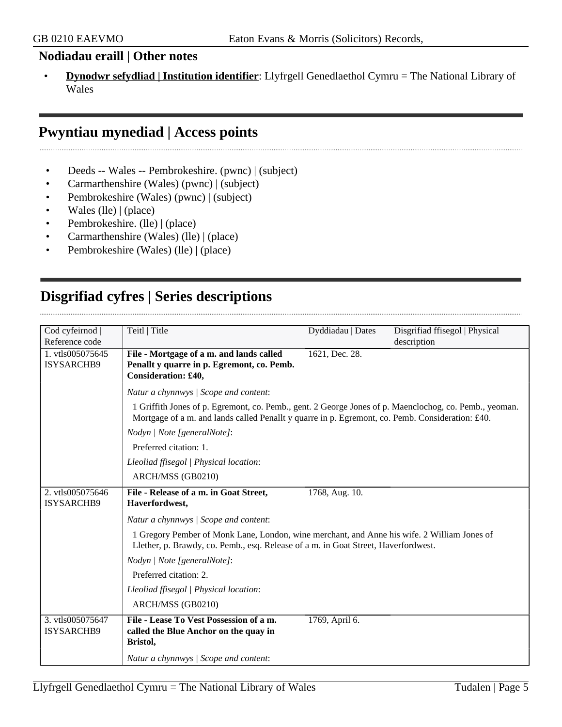#### **Nodiadau eraill | Other notes**

• **Dynodwr sefydliad | Institution identifier**: Llyfrgell Genedlaethol Cymru = The National Library of Wales

## <span id="page-4-0"></span>**Pwyntiau mynediad | Access points**

- Deeds -- Wales -- Pembrokeshire. (pwnc) | (subject)
- Carmarthenshire (Wales) (pwnc) | (subject)
- Pembrokeshire (Wales) (pwnc) | (subject)
- Wales (lle) | (place)
- Pembrokeshire. (lle) | (place)
- Carmarthenshire (Wales) (lle) | (place)
- Pembrokeshire (Wales) (lle) | (place)

## <span id="page-4-1"></span>**Disgrifiad cyfres | Series descriptions**

| Cod cyfeirnod  <br>Reference code     | Teitl   Title                                                                                                                                                                                              | Dyddiadau   Dates | Disgrifiad ffisegol   Physical<br>description |
|---------------------------------------|------------------------------------------------------------------------------------------------------------------------------------------------------------------------------------------------------------|-------------------|-----------------------------------------------|
| 1. vtls005075645<br>ISYSARCHB9        | File - Mortgage of a m. and lands called<br>Penallt y quarre in p. Egremont, co. Pemb.<br>Consideration: £40,                                                                                              | 1621, Dec. 28.    |                                               |
|                                       | Natur a chynnwys / Scope and content:                                                                                                                                                                      |                   |                                               |
|                                       | 1 Griffith Jones of p. Egremont, co. Pemb., gent. 2 George Jones of p. Maenclochog, co. Pemb., yeoman.<br>Mortgage of a m. and lands called Penallt y quarre in p. Egremont, co. Pemb. Consideration: £40. |                   |                                               |
|                                       | Nodyn   Note [generalNote]:                                                                                                                                                                                |                   |                                               |
|                                       | Preferred citation: 1.                                                                                                                                                                                     |                   |                                               |
|                                       | Lleoliad ffisegol   Physical location:                                                                                                                                                                     |                   |                                               |
|                                       | ARCH/MSS (GB0210)                                                                                                                                                                                          |                   |                                               |
| 2. vtls005075646<br><b>ISYSARCHB9</b> | File - Release of a m. in Goat Street,<br>Haverfordwest,                                                                                                                                                   | 1768, Aug. 10.    |                                               |
|                                       | Natur a chynnwys / Scope and content:                                                                                                                                                                      |                   |                                               |
|                                       | 1 Gregory Pember of Monk Lane, London, wine merchant, and Anne his wife. 2 William Jones of<br>Llether, p. Brawdy, co. Pemb., esq. Release of a m. in Goat Street, Haverfordwest.                          |                   |                                               |
|                                       | Nodyn   Note [generalNote]:                                                                                                                                                                                |                   |                                               |
|                                       | Preferred citation: 2.                                                                                                                                                                                     |                   |                                               |
|                                       | Lleoliad ffisegol   Physical location:                                                                                                                                                                     |                   |                                               |
|                                       | ARCH/MSS (GB0210)                                                                                                                                                                                          |                   |                                               |
| 3. vtls005075647<br><b>ISYSARCHB9</b> | File - Lease To Vest Possession of a m.<br>called the Blue Anchor on the quay in<br>Bristol,                                                                                                               | 1769, April 6.    |                                               |
|                                       | Natur a chynnwys / Scope and content:                                                                                                                                                                      |                   |                                               |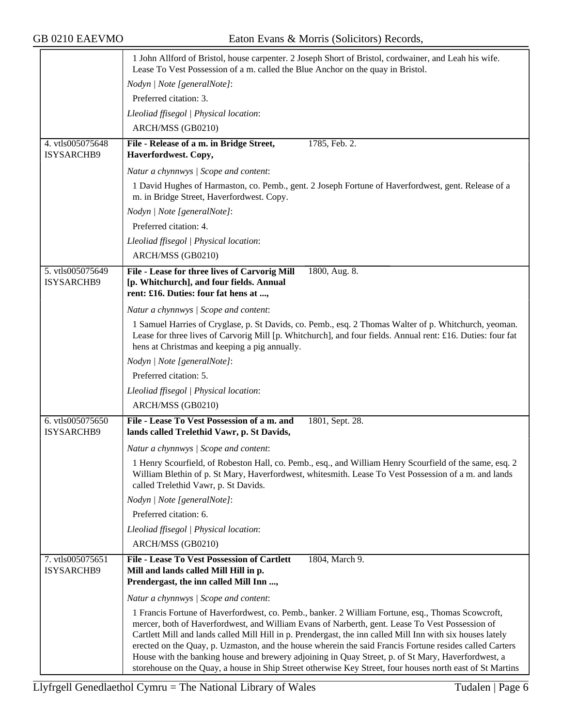|                                | 1 John Allford of Bristol, house carpenter. 2 Joseph Short of Bristol, cordwainer, and Leah his wife.<br>Lease To Vest Possession of a m. called the Blue Anchor on the quay in Bristol.                                                                                                                                                                                                                                                                                                                                            |
|--------------------------------|-------------------------------------------------------------------------------------------------------------------------------------------------------------------------------------------------------------------------------------------------------------------------------------------------------------------------------------------------------------------------------------------------------------------------------------------------------------------------------------------------------------------------------------|
|                                | Nodyn   Note [generalNote]:                                                                                                                                                                                                                                                                                                                                                                                                                                                                                                         |
|                                | Preferred citation: 3.                                                                                                                                                                                                                                                                                                                                                                                                                                                                                                              |
|                                | Lleoliad ffisegol   Physical location:                                                                                                                                                                                                                                                                                                                                                                                                                                                                                              |
|                                | ARCH/MSS (GB0210)                                                                                                                                                                                                                                                                                                                                                                                                                                                                                                                   |
| 4. vtls005075648<br>ISYSARCHB9 | 1785, Feb. 2.<br>File - Release of a m. in Bridge Street,<br>Haverfordwest. Copy,                                                                                                                                                                                                                                                                                                                                                                                                                                                   |
|                                | Natur a chynnwys / Scope and content:                                                                                                                                                                                                                                                                                                                                                                                                                                                                                               |
|                                | 1 David Hughes of Harmaston, co. Pemb., gent. 2 Joseph Fortune of Haverfordwest, gent. Release of a<br>m. in Bridge Street, Haverfordwest. Copy.                                                                                                                                                                                                                                                                                                                                                                                    |
|                                | Nodyn   Note [generalNote]:                                                                                                                                                                                                                                                                                                                                                                                                                                                                                                         |
|                                | Preferred citation: 4.                                                                                                                                                                                                                                                                                                                                                                                                                                                                                                              |
|                                | Lleoliad ffisegol   Physical location:                                                                                                                                                                                                                                                                                                                                                                                                                                                                                              |
|                                | ARCH/MSS (GB0210)                                                                                                                                                                                                                                                                                                                                                                                                                                                                                                                   |
| 5. vtls005075649               | File - Lease for three lives of Carvorig Mill<br>1800, Aug. 8.                                                                                                                                                                                                                                                                                                                                                                                                                                                                      |
| ISYSARCHB9                     | [p. Whitchurch], and four fields. Annual<br>rent: £16. Duties: four fat hens at ,                                                                                                                                                                                                                                                                                                                                                                                                                                                   |
|                                | Natur a chynnwys / Scope and content:                                                                                                                                                                                                                                                                                                                                                                                                                                                                                               |
|                                | 1 Samuel Harries of Cryglase, p. St Davids, co. Pemb., esq. 2 Thomas Walter of p. Whitchurch, yeoman.<br>Lease for three lives of Carvorig Mill [p. Whitchurch], and four fields. Annual rent: £16. Duties: four fat<br>hens at Christmas and keeping a pig annually.                                                                                                                                                                                                                                                               |
|                                | Nodyn   Note [generalNote]:                                                                                                                                                                                                                                                                                                                                                                                                                                                                                                         |
|                                | Preferred citation: 5.                                                                                                                                                                                                                                                                                                                                                                                                                                                                                                              |
|                                | Lleoliad ffisegol   Physical location:                                                                                                                                                                                                                                                                                                                                                                                                                                                                                              |
|                                | ARCH/MSS (GB0210)                                                                                                                                                                                                                                                                                                                                                                                                                                                                                                                   |
| 6. vtls005075650<br>ISYSARCHB9 | File - Lease To Vest Possession of a m. and<br>1801, Sept. 28.<br>lands called Trelethid Vawr, p. St Davids,                                                                                                                                                                                                                                                                                                                                                                                                                        |
|                                | Natur a chynnwys / Scope and content:                                                                                                                                                                                                                                                                                                                                                                                                                                                                                               |
|                                | 1 Henry Scourfield, of Robeston Hall, co. Pemb., esq., and William Henry Scourfield of the same, esq. 2<br>William Blethin of p. St Mary, Haverfordwest, whitesmith. Lease To Vest Possession of a m. and lands<br>called Trelethid Vawr, p. St Davids.                                                                                                                                                                                                                                                                             |
|                                | Nodyn   Note [generalNote]:                                                                                                                                                                                                                                                                                                                                                                                                                                                                                                         |
|                                | Preferred citation: 6.                                                                                                                                                                                                                                                                                                                                                                                                                                                                                                              |
|                                | Lleoliad ffisegol   Physical location:                                                                                                                                                                                                                                                                                                                                                                                                                                                                                              |
|                                | ARCH/MSS (GB0210)                                                                                                                                                                                                                                                                                                                                                                                                                                                                                                                   |
| 7. vtls005075651<br>ISYSARCHB9 | File - Lease To Vest Possession of Cartlett<br>1804, March 9.<br>Mill and lands called Mill Hill in p.                                                                                                                                                                                                                                                                                                                                                                                                                              |
|                                | Prendergast, the inn called Mill Inn ,                                                                                                                                                                                                                                                                                                                                                                                                                                                                                              |
|                                | Natur a chynnwys / Scope and content:                                                                                                                                                                                                                                                                                                                                                                                                                                                                                               |
|                                | 1 Francis Fortune of Haverfordwest, co. Pemb., banker. 2 William Fortune, esq., Thomas Scowcroft,<br>mercer, both of Haverfordwest, and William Evans of Narberth, gent. Lease To Vest Possession of<br>Cartlett Mill and lands called Mill Hill in p. Prendergast, the inn called Mill Inn with six houses lately<br>erected on the Quay, p. Uzmaston, and the house wherein the said Francis Fortune resides called Carters<br>House with the banking house and brewery adjoining in Quay Street, p. of St Mary, Haverfordwest, a |
|                                | storehouse on the Quay, a house in Ship Street otherwise Key Street, four houses north east of St Martins                                                                                                                                                                                                                                                                                                                                                                                                                           |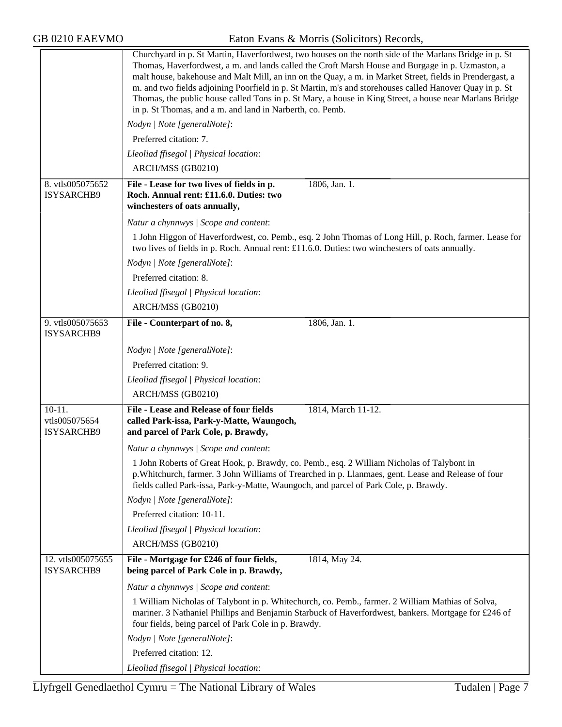GB 0210 EAEVMO Eaton Evans & Morris (Solicitors) Records,

|                                         | Churchyard in p. St Martin, Haverfordwest, two houses on the north side of the Marlans Bridge in p. St<br>Thomas, Haverfordwest, a m. and lands called the Croft Marsh House and Burgage in p. Uzmaston, a<br>malt house, bakehouse and Malt Mill, an inn on the Quay, a m. in Market Street, fields in Prendergast, a<br>m. and two fields adjoining Poorfield in p. St Martin, m's and storehouses called Hanover Quay in p. St<br>Thomas, the public house called Tons in p. St Mary, a house in King Street, a house near Marlans Bridge<br>in p. St Thomas, and a m. and land in Narberth, co. Pemb. |
|-----------------------------------------|-----------------------------------------------------------------------------------------------------------------------------------------------------------------------------------------------------------------------------------------------------------------------------------------------------------------------------------------------------------------------------------------------------------------------------------------------------------------------------------------------------------------------------------------------------------------------------------------------------------|
|                                         | Nodyn   Note [generalNote]:                                                                                                                                                                                                                                                                                                                                                                                                                                                                                                                                                                               |
|                                         | Preferred citation: 7.                                                                                                                                                                                                                                                                                                                                                                                                                                                                                                                                                                                    |
|                                         | Lleoliad ffisegol   Physical location:                                                                                                                                                                                                                                                                                                                                                                                                                                                                                                                                                                    |
|                                         | ARCH/MSS (GB0210)                                                                                                                                                                                                                                                                                                                                                                                                                                                                                                                                                                                         |
| 8. vtls005075652<br>ISYSARCHB9          | 1806, Jan. 1.<br>File - Lease for two lives of fields in p.<br>Roch. Annual rent: £11.6.0. Duties: two<br>winchesters of oats annually,                                                                                                                                                                                                                                                                                                                                                                                                                                                                   |
|                                         | Natur a chynnwys / Scope and content:                                                                                                                                                                                                                                                                                                                                                                                                                                                                                                                                                                     |
|                                         | 1 John Higgon of Haverfordwest, co. Pemb., esq. 2 John Thomas of Long Hill, p. Roch, farmer. Lease for<br>two lives of fields in p. Roch. Annual rent: £11.6.0. Duties: two winchesters of oats annually.                                                                                                                                                                                                                                                                                                                                                                                                 |
|                                         | Nodyn   Note [generalNote]:                                                                                                                                                                                                                                                                                                                                                                                                                                                                                                                                                                               |
|                                         | Preferred citation: 8.                                                                                                                                                                                                                                                                                                                                                                                                                                                                                                                                                                                    |
|                                         | Lleoliad ffisegol   Physical location:                                                                                                                                                                                                                                                                                                                                                                                                                                                                                                                                                                    |
|                                         | ARCH/MSS (GB0210)                                                                                                                                                                                                                                                                                                                                                                                                                                                                                                                                                                                         |
| 9. vtls005075653<br>ISYSARCHB9          | 1806, Jan. 1.<br>File - Counterpart of no. 8,                                                                                                                                                                                                                                                                                                                                                                                                                                                                                                                                                             |
|                                         | Nodyn   Note [generalNote]:                                                                                                                                                                                                                                                                                                                                                                                                                                                                                                                                                                               |
|                                         | Preferred citation: 9.                                                                                                                                                                                                                                                                                                                                                                                                                                                                                                                                                                                    |
|                                         | Lleoliad ffisegol   Physical location:                                                                                                                                                                                                                                                                                                                                                                                                                                                                                                                                                                    |
|                                         | ARCH/MSS (GB0210)                                                                                                                                                                                                                                                                                                                                                                                                                                                                                                                                                                                         |
| $10-11.$<br>vtls005075654<br>ISYSARCHB9 | File - Lease and Release of four fields<br>1814, March 11-12.<br>called Park-issa, Park-y-Matte, Waungoch,<br>and parcel of Park Cole, p. Brawdy,                                                                                                                                                                                                                                                                                                                                                                                                                                                         |
|                                         | Natur a chynnwys / Scope and content:                                                                                                                                                                                                                                                                                                                                                                                                                                                                                                                                                                     |
|                                         | 1 John Roberts of Great Hook, p. Brawdy, co. Pemb., esq. 2 William Nicholas of Talybont in<br>p. Whitchurch, farmer. 3 John Williams of Trearched in p. Llanmaes, gent. Lease and Release of four<br>fields called Park-issa, Park-y-Matte, Waungoch, and parcel of Park Cole, p. Brawdy.                                                                                                                                                                                                                                                                                                                 |
|                                         | Nodyn   Note [generalNote]:                                                                                                                                                                                                                                                                                                                                                                                                                                                                                                                                                                               |
|                                         | Preferred citation: 10-11.                                                                                                                                                                                                                                                                                                                                                                                                                                                                                                                                                                                |
|                                         | Lleoliad ffisegol   Physical location:                                                                                                                                                                                                                                                                                                                                                                                                                                                                                                                                                                    |
|                                         | ARCH/MSS (GB0210)                                                                                                                                                                                                                                                                                                                                                                                                                                                                                                                                                                                         |
| 12. vtls005075655<br>ISYSARCHB9         | 1814, May 24.<br>File - Mortgage for £246 of four fields,<br>being parcel of Park Cole in p. Brawdy,                                                                                                                                                                                                                                                                                                                                                                                                                                                                                                      |
|                                         | Natur a chynnwys / Scope and content:                                                                                                                                                                                                                                                                                                                                                                                                                                                                                                                                                                     |
|                                         | 1 William Nicholas of Talybont in p. Whitechurch, co. Pemb., farmer. 2 William Mathias of Solva,<br>mariner. 3 Nathaniel Phillips and Benjamin Starbuck of Haverfordwest, bankers. Mortgage for £246 of<br>four fields, being parcel of Park Cole in p. Brawdy.                                                                                                                                                                                                                                                                                                                                           |
|                                         | Nodyn   Note [generalNote]:                                                                                                                                                                                                                                                                                                                                                                                                                                                                                                                                                                               |
|                                         | Preferred citation: 12.                                                                                                                                                                                                                                                                                                                                                                                                                                                                                                                                                                                   |
|                                         | Lleoliad ffisegol   Physical location:                                                                                                                                                                                                                                                                                                                                                                                                                                                                                                                                                                    |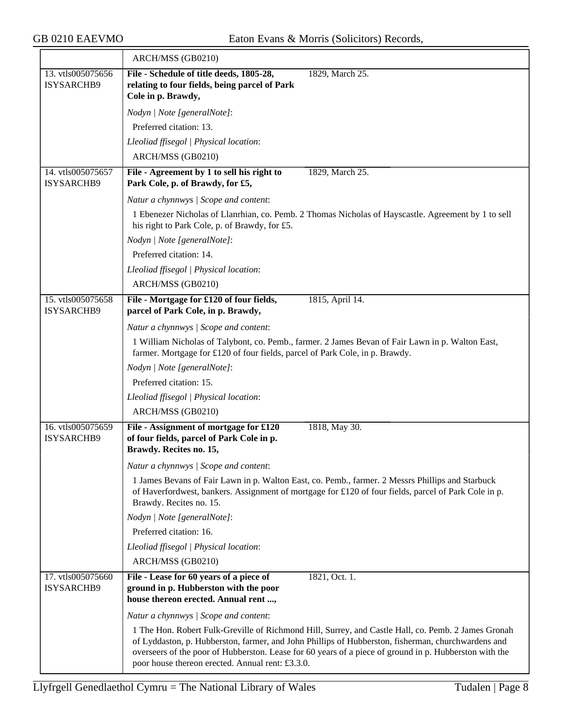|                                 | ARCH/MSS (GB0210)                                                                                                                                                                                                                                                                                                                                                       |
|---------------------------------|-------------------------------------------------------------------------------------------------------------------------------------------------------------------------------------------------------------------------------------------------------------------------------------------------------------------------------------------------------------------------|
| 13. vtls005075656               | File - Schedule of title deeds, 1805-28,<br>1829, March 25.                                                                                                                                                                                                                                                                                                             |
| <b>ISYSARCHB9</b>               | relating to four fields, being parcel of Park<br>Cole in p. Brawdy,                                                                                                                                                                                                                                                                                                     |
|                                 |                                                                                                                                                                                                                                                                                                                                                                         |
|                                 | Nodyn   Note [generalNote]:                                                                                                                                                                                                                                                                                                                                             |
|                                 | Preferred citation: 13.                                                                                                                                                                                                                                                                                                                                                 |
|                                 | Lleoliad ffisegol   Physical location:                                                                                                                                                                                                                                                                                                                                  |
|                                 | ARCH/MSS (GB0210)                                                                                                                                                                                                                                                                                                                                                       |
| 14. vtls005075657<br>ISYSARCHB9 | File - Agreement by 1 to sell his right to<br>1829, March 25.<br>Park Cole, p. of Brawdy, for £5,                                                                                                                                                                                                                                                                       |
|                                 | Natur a chynnwys / Scope and content:                                                                                                                                                                                                                                                                                                                                   |
|                                 | 1 Ebenezer Nicholas of Llanrhian, co. Pemb. 2 Thomas Nicholas of Hayscastle. Agreement by 1 to sell<br>his right to Park Cole, p. of Brawdy, for £5.                                                                                                                                                                                                                    |
|                                 | Nodyn   Note [generalNote]:                                                                                                                                                                                                                                                                                                                                             |
|                                 | Preferred citation: 14.                                                                                                                                                                                                                                                                                                                                                 |
|                                 | Lleoliad ffisegol   Physical location:                                                                                                                                                                                                                                                                                                                                  |
|                                 | ARCH/MSS (GB0210)                                                                                                                                                                                                                                                                                                                                                       |
| 15. vtls005075658<br>ISYSARCHB9 | File - Mortgage for £120 of four fields,<br>1815, April 14.<br>parcel of Park Cole, in p. Brawdy,                                                                                                                                                                                                                                                                       |
|                                 | Natur a chynnwys / Scope and content:                                                                                                                                                                                                                                                                                                                                   |
|                                 | 1 William Nicholas of Talybont, co. Pemb., farmer. 2 James Bevan of Fair Lawn in p. Walton East,                                                                                                                                                                                                                                                                        |
|                                 | farmer. Mortgage for £120 of four fields, parcel of Park Cole, in p. Brawdy.                                                                                                                                                                                                                                                                                            |
|                                 | Nodyn   Note [generalNote]:                                                                                                                                                                                                                                                                                                                                             |
|                                 | Preferred citation: 15.                                                                                                                                                                                                                                                                                                                                                 |
|                                 | Lleoliad ffisegol   Physical location:                                                                                                                                                                                                                                                                                                                                  |
|                                 | ARCH/MSS (GB0210)                                                                                                                                                                                                                                                                                                                                                       |
| 16. vtls005075659               | File - Assignment of mortgage for £120<br>1818, May 30.                                                                                                                                                                                                                                                                                                                 |
| ISYSARCHB9                      | of four fields, parcel of Park Cole in p.<br>Brawdy. Recites no. 15,                                                                                                                                                                                                                                                                                                    |
|                                 | Natur a chynnwys / Scope and content:                                                                                                                                                                                                                                                                                                                                   |
|                                 | 1 James Bevans of Fair Lawn in p. Walton East, co. Pemb., farmer. 2 Messrs Phillips and Starbuck                                                                                                                                                                                                                                                                        |
|                                 | of Haverfordwest, bankers. Assignment of mortgage for £120 of four fields, parcel of Park Cole in p.<br>Brawdy. Recites no. 15.                                                                                                                                                                                                                                         |
|                                 | Nodyn   Note [generalNote]:                                                                                                                                                                                                                                                                                                                                             |
|                                 | Preferred citation: 16.                                                                                                                                                                                                                                                                                                                                                 |
|                                 | Lleoliad ffisegol   Physical location:                                                                                                                                                                                                                                                                                                                                  |
|                                 | ARCH/MSS (GB0210)                                                                                                                                                                                                                                                                                                                                                       |
| 17. vtls005075660<br>ISYSARCHB9 | File - Lease for 60 years of a piece of<br>1821, Oct. 1.<br>ground in p. Hubberston with the poor<br>house thereon erected. Annual rent ,                                                                                                                                                                                                                               |
|                                 | Natur a chynnwys / Scope and content:                                                                                                                                                                                                                                                                                                                                   |
|                                 | 1 The Hon. Robert Fulk-Greville of Richmond Hill, Surrey, and Castle Hall, co. Pemb. 2 James Gronah<br>of Lyddaston, p. Hubberston, farmer, and John Phillips of Hubberston, fisherman, churchwardens and<br>overseers of the poor of Hubberston. Lease for 60 years of a piece of ground in p. Hubberston with the<br>poor house thereon erected. Annual rent: £3.3.0. |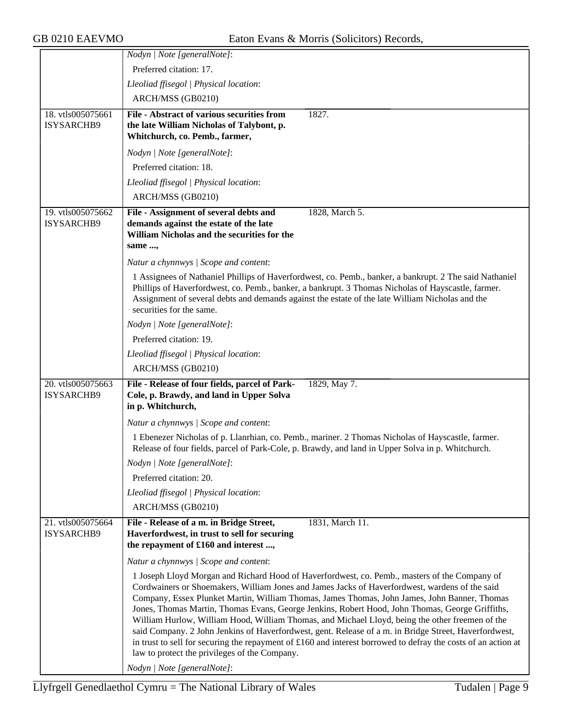|                                 | Nodyn   Note [generalNote]:                                                                                                                                                                                                                                                                                                                                                                                                                                                                                                                                                                                                                                                                                                                                                      |
|---------------------------------|----------------------------------------------------------------------------------------------------------------------------------------------------------------------------------------------------------------------------------------------------------------------------------------------------------------------------------------------------------------------------------------------------------------------------------------------------------------------------------------------------------------------------------------------------------------------------------------------------------------------------------------------------------------------------------------------------------------------------------------------------------------------------------|
|                                 | Preferred citation: 17.                                                                                                                                                                                                                                                                                                                                                                                                                                                                                                                                                                                                                                                                                                                                                          |
|                                 | Lleoliad ffisegol   Physical location:                                                                                                                                                                                                                                                                                                                                                                                                                                                                                                                                                                                                                                                                                                                                           |
|                                 | ARCH/MSS (GB0210)                                                                                                                                                                                                                                                                                                                                                                                                                                                                                                                                                                                                                                                                                                                                                                |
| 18. vtls005075661<br>ISYSARCHB9 | File - Abstract of various securities from<br>1827.<br>the late William Nicholas of Talybont, p.                                                                                                                                                                                                                                                                                                                                                                                                                                                                                                                                                                                                                                                                                 |
|                                 | Whitchurch, co. Pemb., farmer,                                                                                                                                                                                                                                                                                                                                                                                                                                                                                                                                                                                                                                                                                                                                                   |
|                                 | Nodyn   Note [generalNote]:                                                                                                                                                                                                                                                                                                                                                                                                                                                                                                                                                                                                                                                                                                                                                      |
|                                 | Preferred citation: 18.                                                                                                                                                                                                                                                                                                                                                                                                                                                                                                                                                                                                                                                                                                                                                          |
|                                 | Lleoliad ffisegol   Physical location:                                                                                                                                                                                                                                                                                                                                                                                                                                                                                                                                                                                                                                                                                                                                           |
|                                 | ARCH/MSS (GB0210)                                                                                                                                                                                                                                                                                                                                                                                                                                                                                                                                                                                                                                                                                                                                                                |
| 19. vtls005075662               | File - Assignment of several debts and<br>1828, March 5.                                                                                                                                                                                                                                                                                                                                                                                                                                                                                                                                                                                                                                                                                                                         |
| ISYSARCHB9                      | demands against the estate of the late                                                                                                                                                                                                                                                                                                                                                                                                                                                                                                                                                                                                                                                                                                                                           |
|                                 | William Nicholas and the securities for the                                                                                                                                                                                                                                                                                                                                                                                                                                                                                                                                                                                                                                                                                                                                      |
|                                 | same ,                                                                                                                                                                                                                                                                                                                                                                                                                                                                                                                                                                                                                                                                                                                                                                           |
|                                 | Natur a chynnwys / Scope and content:                                                                                                                                                                                                                                                                                                                                                                                                                                                                                                                                                                                                                                                                                                                                            |
|                                 | 1 Assignees of Nathaniel Phillips of Haverfordwest, co. Pemb., banker, a bankrupt. 2 The said Nathaniel<br>Phillips of Haverfordwest, co. Pemb., banker, a bankrupt. 3 Thomas Nicholas of Hayscastle, farmer.<br>Assignment of several debts and demands against the estate of the late William Nicholas and the<br>securities for the same.                                                                                                                                                                                                                                                                                                                                                                                                                                     |
|                                 | Nodyn   Note [generalNote]:                                                                                                                                                                                                                                                                                                                                                                                                                                                                                                                                                                                                                                                                                                                                                      |
|                                 | Preferred citation: 19.                                                                                                                                                                                                                                                                                                                                                                                                                                                                                                                                                                                                                                                                                                                                                          |
|                                 | Lleoliad ffisegol   Physical location:                                                                                                                                                                                                                                                                                                                                                                                                                                                                                                                                                                                                                                                                                                                                           |
|                                 | ARCH/MSS (GB0210)                                                                                                                                                                                                                                                                                                                                                                                                                                                                                                                                                                                                                                                                                                                                                                |
| 20. vtls005075663               | File - Release of four fields, parcel of Park-<br>1829, May 7.                                                                                                                                                                                                                                                                                                                                                                                                                                                                                                                                                                                                                                                                                                                   |
| ISYSARCHB9                      | Cole, p. Brawdy, and land in Upper Solva<br>in p. Whitchurch,                                                                                                                                                                                                                                                                                                                                                                                                                                                                                                                                                                                                                                                                                                                    |
|                                 | Natur a chynnwys / Scope and content:                                                                                                                                                                                                                                                                                                                                                                                                                                                                                                                                                                                                                                                                                                                                            |
|                                 | 1 Ebenezer Nicholas of p. Llanrhian, co. Pemb., mariner. 2 Thomas Nicholas of Hayscastle, farmer.<br>Release of four fields, parcel of Park-Cole, p. Brawdy, and land in Upper Solva in p. Whitchurch.                                                                                                                                                                                                                                                                                                                                                                                                                                                                                                                                                                           |
|                                 | Nodyn   Note [generalNote]:                                                                                                                                                                                                                                                                                                                                                                                                                                                                                                                                                                                                                                                                                                                                                      |
|                                 | Preferred citation: 20.                                                                                                                                                                                                                                                                                                                                                                                                                                                                                                                                                                                                                                                                                                                                                          |
|                                 | Lleoliad ffisegol   Physical location:                                                                                                                                                                                                                                                                                                                                                                                                                                                                                                                                                                                                                                                                                                                                           |
|                                 | ARCH/MSS (GB0210)                                                                                                                                                                                                                                                                                                                                                                                                                                                                                                                                                                                                                                                                                                                                                                |
| 21. vtls005075664<br>ISYSARCHB9 | 1831, March 11.<br>File - Release of a m. in Bridge Street,<br>Haverfordwest, in trust to sell for securing<br>the repayment of £160 and interest ,                                                                                                                                                                                                                                                                                                                                                                                                                                                                                                                                                                                                                              |
|                                 | Natur a chynnwys / Scope and content:                                                                                                                                                                                                                                                                                                                                                                                                                                                                                                                                                                                                                                                                                                                                            |
|                                 | 1 Joseph Lloyd Morgan and Richard Hood of Haverfordwest, co. Pemb., masters of the Company of<br>Cordwainers or Shoemakers, William Jones and James Jacks of Haverfordwest, wardens of the said<br>Company, Essex Plunket Martin, William Thomas, James Thomas, John James, John Banner, Thomas<br>Jones, Thomas Martin, Thomas Evans, George Jenkins, Robert Hood, John Thomas, George Griffiths,<br>William Hurlow, William Hood, William Thomas, and Michael Lloyd, being the other freemen of the<br>said Company. 2 John Jenkins of Haverfordwest, gent. Release of a m. in Bridge Street, Haverfordwest,<br>in trust to sell for securing the repayment of £160 and interest borrowed to defray the costs of an action at<br>law to protect the privileges of the Company. |
|                                 | Nodyn   Note [generalNote]:                                                                                                                                                                                                                                                                                                                                                                                                                                                                                                                                                                                                                                                                                                                                                      |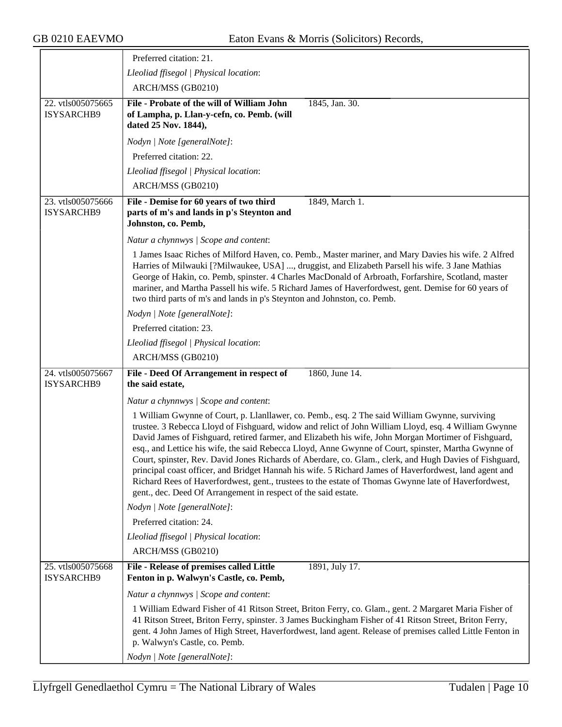|                                 | Preferred citation: 21.                                                                                                                                                                                                                                                                                                                                                                                                                                                                                                                                                                                                                                                                                                                                                                                               |
|---------------------------------|-----------------------------------------------------------------------------------------------------------------------------------------------------------------------------------------------------------------------------------------------------------------------------------------------------------------------------------------------------------------------------------------------------------------------------------------------------------------------------------------------------------------------------------------------------------------------------------------------------------------------------------------------------------------------------------------------------------------------------------------------------------------------------------------------------------------------|
|                                 | Lleoliad ffisegol   Physical location:                                                                                                                                                                                                                                                                                                                                                                                                                                                                                                                                                                                                                                                                                                                                                                                |
|                                 | ARCH/MSS (GB0210)                                                                                                                                                                                                                                                                                                                                                                                                                                                                                                                                                                                                                                                                                                                                                                                                     |
| 22. vtls005075665<br>ISYSARCHB9 | File - Probate of the will of William John<br>1845, Jan. 30.<br>of Lampha, p. Llan-y-cefn, co. Pemb. (will<br>dated 25 Nov. 1844),                                                                                                                                                                                                                                                                                                                                                                                                                                                                                                                                                                                                                                                                                    |
|                                 | Nodyn   Note [generalNote]:                                                                                                                                                                                                                                                                                                                                                                                                                                                                                                                                                                                                                                                                                                                                                                                           |
|                                 | Preferred citation: 22.                                                                                                                                                                                                                                                                                                                                                                                                                                                                                                                                                                                                                                                                                                                                                                                               |
|                                 | Lleoliad ffisegol   Physical location:                                                                                                                                                                                                                                                                                                                                                                                                                                                                                                                                                                                                                                                                                                                                                                                |
|                                 | ARCH/MSS (GB0210)                                                                                                                                                                                                                                                                                                                                                                                                                                                                                                                                                                                                                                                                                                                                                                                                     |
| 23. vtls005075666<br>ISYSARCHB9 | File - Demise for 60 years of two third<br>1849, March 1.<br>parts of m's and lands in p's Steynton and<br>Johnston, co. Pemb,                                                                                                                                                                                                                                                                                                                                                                                                                                                                                                                                                                                                                                                                                        |
|                                 | Natur a chynnwys / Scope and content:                                                                                                                                                                                                                                                                                                                                                                                                                                                                                                                                                                                                                                                                                                                                                                                 |
|                                 | 1 James Isaac Riches of Milford Haven, co. Pemb., Master mariner, and Mary Davies his wife. 2 Alfred<br>Harries of Milwauki [?Milwaukee, USA] , druggist, and Elizabeth Parsell his wife. 3 Jane Mathias<br>George of Hakin, co. Pemb, spinster. 4 Charles MacDonald of Arbroath, Forfarshire, Scotland, master<br>mariner, and Martha Passell his wife. 5 Richard James of Haverfordwest, gent. Demise for 60 years of<br>two third parts of m's and lands in p's Steynton and Johnston, co. Pemb.                                                                                                                                                                                                                                                                                                                   |
|                                 | Nodyn   Note [generalNote]:                                                                                                                                                                                                                                                                                                                                                                                                                                                                                                                                                                                                                                                                                                                                                                                           |
|                                 | Preferred citation: 23.                                                                                                                                                                                                                                                                                                                                                                                                                                                                                                                                                                                                                                                                                                                                                                                               |
|                                 | Lleoliad ffisegol   Physical location:                                                                                                                                                                                                                                                                                                                                                                                                                                                                                                                                                                                                                                                                                                                                                                                |
|                                 | ARCH/MSS (GB0210)                                                                                                                                                                                                                                                                                                                                                                                                                                                                                                                                                                                                                                                                                                                                                                                                     |
| 24. vtls005075667<br>ISYSARCHB9 | 1860, June 14.<br>File - Deed Of Arrangement in respect of<br>the said estate,                                                                                                                                                                                                                                                                                                                                                                                                                                                                                                                                                                                                                                                                                                                                        |
|                                 | Natur a chynnwys / Scope and content:                                                                                                                                                                                                                                                                                                                                                                                                                                                                                                                                                                                                                                                                                                                                                                                 |
|                                 | 1 William Gwynne of Court, p. Llanllawer, co. Pemb., esq. 2 The said William Gwynne, surviving<br>trustee. 3 Rebecca Lloyd of Fishguard, widow and relict of John William Lloyd, esq. 4 William Gwynne<br>David James of Fishguard, retired farmer, and Elizabeth his wife, John Morgan Mortimer of Fishguard,<br>esq., and Lettice his wife, the said Rebecca Lloyd, Anne Gwynne of Court, spinster, Martha Gwynne of<br>Court, spinster, Rev. David Jones Richards of Aberdare, co. Glam., clerk, and Hugh Davies of Fishguard,<br>principal coast officer, and Bridget Hannah his wife. 5 Richard James of Haverfordwest, land agent and<br>Richard Rees of Haverfordwest, gent., trustees to the estate of Thomas Gwynne late of Haverfordwest,<br>gent., dec. Deed Of Arrangement in respect of the said estate. |
|                                 | Nodyn   Note [generalNote]:                                                                                                                                                                                                                                                                                                                                                                                                                                                                                                                                                                                                                                                                                                                                                                                           |
|                                 | Preferred citation: 24.                                                                                                                                                                                                                                                                                                                                                                                                                                                                                                                                                                                                                                                                                                                                                                                               |
|                                 | Lleoliad ffisegol   Physical location:                                                                                                                                                                                                                                                                                                                                                                                                                                                                                                                                                                                                                                                                                                                                                                                |
|                                 | ARCH/MSS (GB0210)                                                                                                                                                                                                                                                                                                                                                                                                                                                                                                                                                                                                                                                                                                                                                                                                     |
| 25. vtls005075668<br>ISYSARCHB9 | File - Release of premises called Little<br>1891, July 17.<br>Fenton in p. Walwyn's Castle, co. Pemb,                                                                                                                                                                                                                                                                                                                                                                                                                                                                                                                                                                                                                                                                                                                 |
|                                 | Natur a chynnwys / Scope and content:                                                                                                                                                                                                                                                                                                                                                                                                                                                                                                                                                                                                                                                                                                                                                                                 |
|                                 | 1 William Edward Fisher of 41 Ritson Street, Briton Ferry, co. Glam., gent. 2 Margaret Maria Fisher of<br>41 Ritson Street, Briton Ferry, spinster. 3 James Buckingham Fisher of 41 Ritson Street, Briton Ferry,<br>gent. 4 John James of High Street, Haverfordwest, land agent. Release of premises called Little Fenton in<br>p. Walwyn's Castle, co. Pemb.                                                                                                                                                                                                                                                                                                                                                                                                                                                        |
|                                 | Nodyn   Note [generalNote]:                                                                                                                                                                                                                                                                                                                                                                                                                                                                                                                                                                                                                                                                                                                                                                                           |